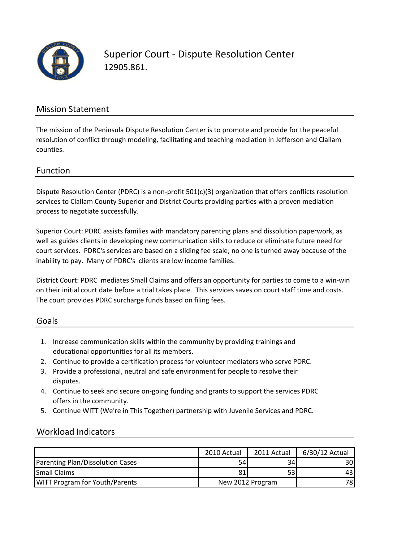

#### Mission Statement

The mission of the Peninsula Dispute Resolution Center is to promote and provide for the peaceful resolution of conflict through modeling, facilitating and teaching mediation in Jefferson and Clallam counties.

#### Function

Dispute Resolution Center (PDRC) is a non-profit 501(c)(3) organization that offers conflicts resolution services to Clallam County Superior and District Courts providing parties with a proven mediation process to negotiate successfully.

Superior Court: PDRC assists families with mandatory parenting plans and dissolution paperwork, as well as guides clients in developing new communication skills to reduce or eliminate future need for court services. PDRC's services are based on a sliding fee scale; no one is turned away because of the inability to pay. Many of PDRC's clients are low income families.

District Court: PDRC mediates Small Claims and offers an opportunity for parties to come to a win‐win on their initial court date before a trial takes place. This services saves on court staff time and costs. The court provides PDRC surcharge funds based on filing fees.

#### Goals

- 1. Increase communication skills within the community by providing trainings and educational opportunities for all its members.
- 2. Continue to provide a certification process for volunteer mediators who serve PDRC.
- 3. Provide a professional, neutral and safe environment for people to resolve theirdisputes.
- 4. Continue to seek and secure on‐going funding and grants to support the services PDRC offers in the community.
- 5. Continue WITT (We're in This Together) partnership with Juvenile Services and PDRC.

### Workload Indicators

|                                       | 2010 Actual      | 2011 Actual | 6/30/12 Actual |
|---------------------------------------|------------------|-------------|----------------|
| Parenting Plan/Dissolution Cases      | 54               | 34          | 30I            |
| <b>Small Claims</b>                   | 81               |             | 43 I           |
| <b>WITT Program for Youth/Parents</b> | New 2012 Program |             | 78I            |